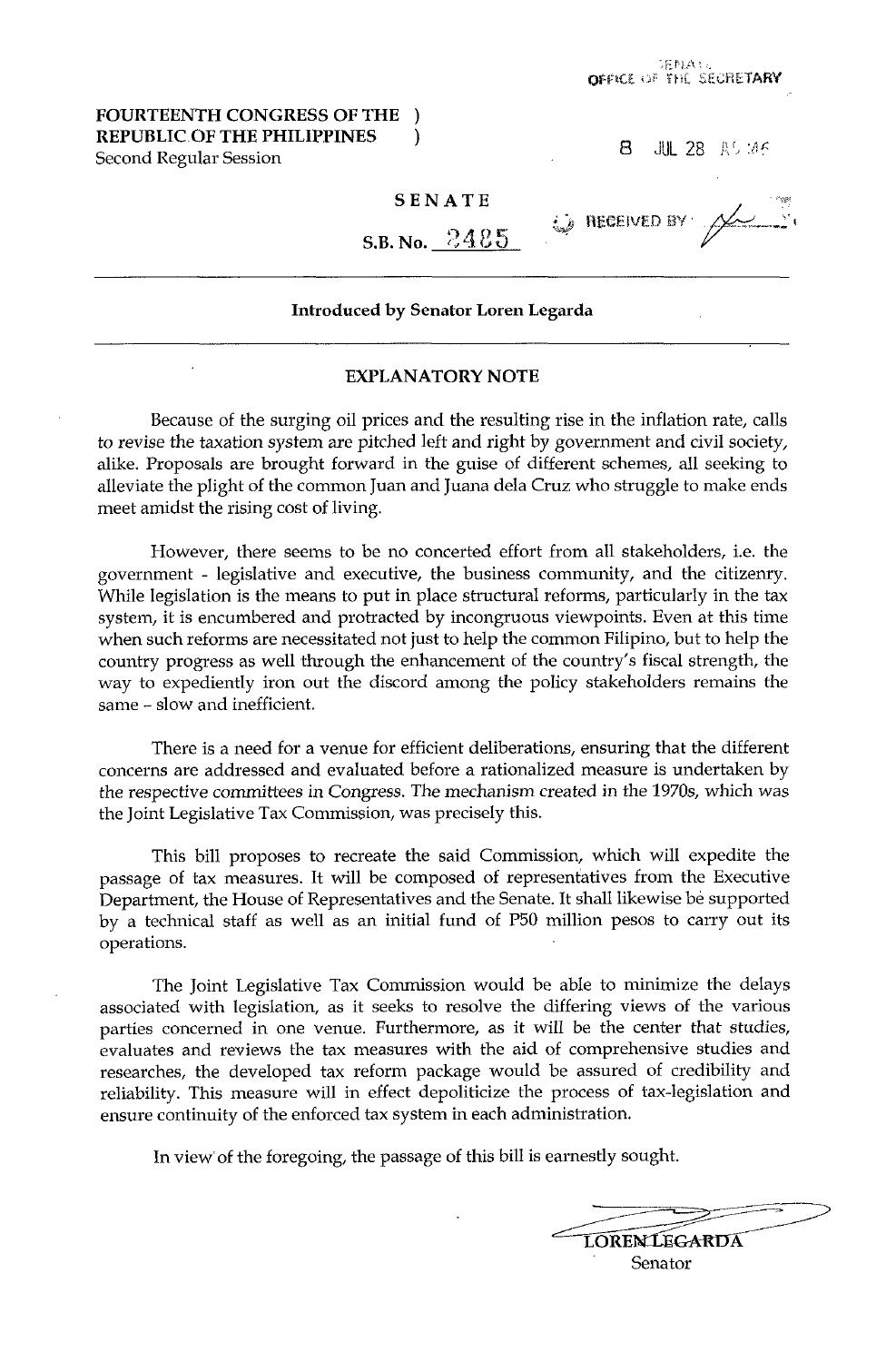## **FOURTEENTH CONGRESS OF THE** ) **REPUBLIC OF THE PHILIPPINES** ) Second Regular Session **8 JUL 28 AS 8 JUL 28 AS 8 JUL 28 AS 8 1112 8** *AS*

 $\omega$  received by

## **SENATE**

S.B. No. 2425

## **Introduced by Senator Loren Legarda**

## **EXPLANATORY NOTE**

Because of the surging oil prices and the resulting rise in the inflation rate, calls to revise the taxation system are pitched left and right by government and civil society, alike. Proposals are brought forward in the guise of different schemes, all seeking to alleviate the plight of the common Juan and Juana dela Cruz who struggle to make ends meet amidst the rising cost of living.

However, there seems to be no concerted effort from all stakeholders, i.e. the government - legislative and executive, the business community, and the citizenry. While legislation is the means to put in place structural reforms, particularly in the tax system, it is encumbered and protracted by incongruous viewpoints. Even at this time when such reforms are necessitated not just to help the common Filipino, but to help the country progress as well through the enhancement of the country's fiscal strength, the way to expediently iron out the discord among the policy stakeholders remains the same - slow and inefficient.

There is **a** need for a venue for efficient deliberations, ensuring that the different concerns are addressed and evaluated before a rationalized measure is undertaken by the respective committees in Congress. The mechanism created in the 1970s, which was the Joint Legislative Tax Commission, was precisely this.

This bill proposes to recreate the said Commission, which will expedite the passage of tax measures. It will be composed of representatives from the Executive Department, the House of Representatives and the Senate. It shall likewise be supported by **a** technical staff as well as an initial fund of P50 million pesos to carry out its operations.

The Joint Legislative Tax Commission would be able to minimize the delays associated with legislation, as it seeks to resolve the differing views of the various parties concerned in one venue. Furthermore, as it will be the center that studies, evaluates and reviews the tax measures with the aid of comprehensive studies and researches, the developed tax reform package would be assured of credibility and reliability. This measure will in effect depoliticize the process of tax-legislation and ensure continuity of the enforced tax system in each administration.

In view'of the foregoing, the passage of this bill is earnestly sought.

| <b>LOREN LEGARDA</b> |  |
|----------------------|--|
| Senator              |  |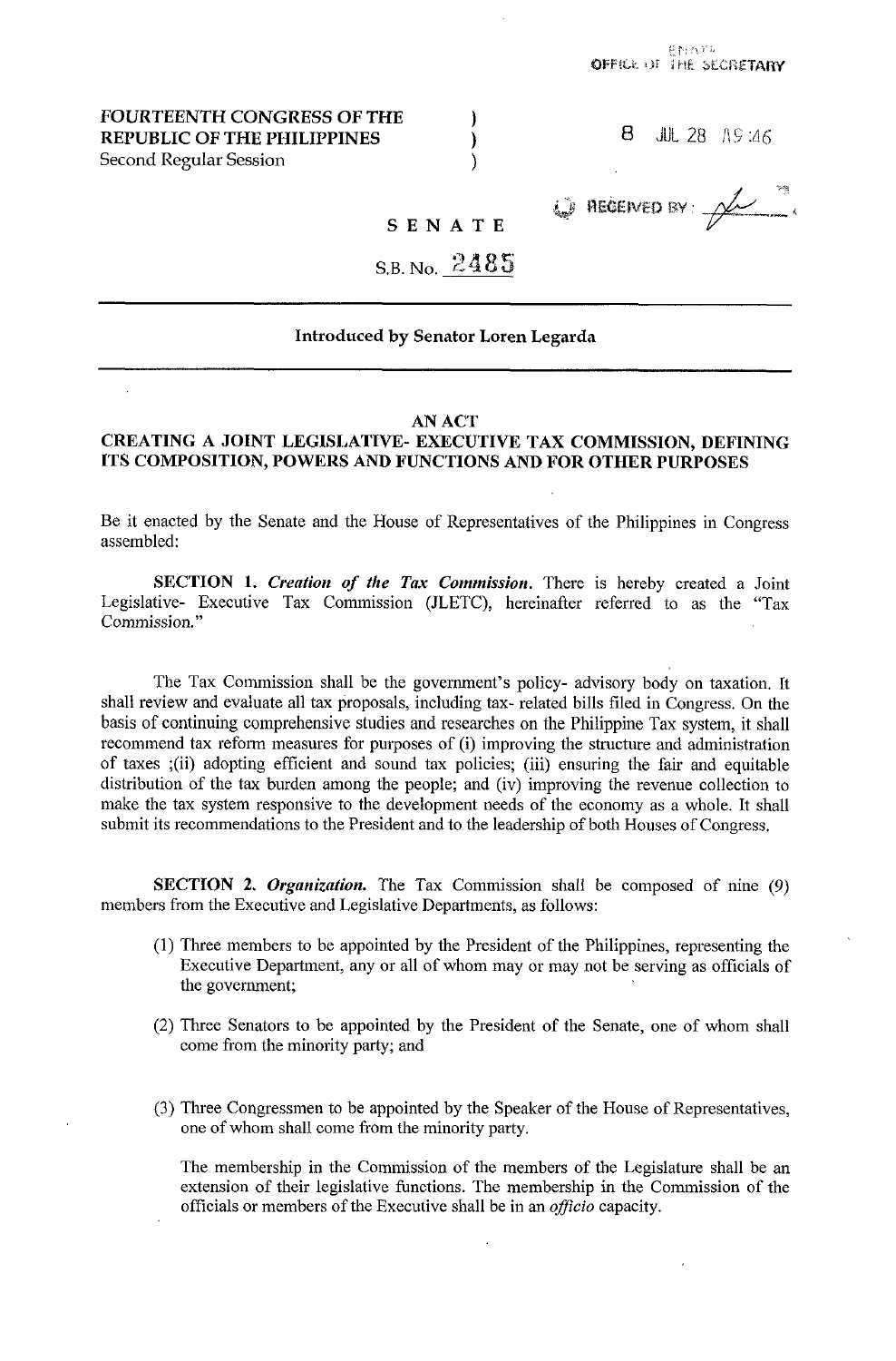## **FOURTEENTH CONGRESS OF THE REPUBLIC OF THE PHILIPPINES**  Second Regular Session

|  |  | <b>8</b> JUL 28 $\sqrt{15}$ :46 |
|--|--|---------------------------------|
|  |  |                                 |

# $\bigcirc$  REGENED BY:  $\mathcal{L}$

## SENATE

)  $\mathcal{E}$  $\lambda$ 

## S.B. No. **24**

## **Introduced by Senator Loren Legarda**

## **AN ACT**

## **CREATING A JOINT LEGISLATIVE- EXECUTIVE TAX COMMISSION, DEFINING ITS COMPOSITION, POWERS AND FUNCTIONS AND FOR OTHER PURPOSES**

Be it enacted by the Senate and the House of Representatives of the Philippines in Congress assembled:

**SECTION 1.** *Creation of the Tax Commission.* There is hereby created a Joint Legislative- Executive Tax Commission (JLETC), hereinafter referred to as the "Tax Commission."

The Tax Commission shall be the government's policy- advisory body on taxation. It shall review and evaluate all tax proposals, including tax- related bills filed in Congress. On the basis of continuing comprehensive studies and researches on the Philippine Tax system, it shall recommend tax reform measures for purposes of (i) improving the structure and administration of taxes ;(ii) adopting efficient and sound tax policies; (iii) ensuring the fair and equitable distribution of the tax burden among the people; and (iv) improving the revenue collection to make the tax system responsive to the development needs of the economy as a whole. It shall submit its recommendations to the President and to the leadership of both Houses of Congress.

**SECTION 2. Organization.** The Tax Commission shall be composed of nine (9) members from the Executive and Legislative Departments, as follows:

- (1) Three members to be appointed by the President of the Philippines, representing the Executive Department, any or all of whom may or may not be serving as officials of the government;
- (2) Three Senators to be appointed by the President of the Senate, one of whom shall come from the minority party; and
- **(3)** Three Congressmen to be appointed by the Speaker of the House of Representatives, one of whom shall come from the minority party.

The membership in the Commission of the members of the Legislature shall be an extension of their legislative functions. The membership in the Commission of the officials or members of the Executive shall be in an *officio* capacity.